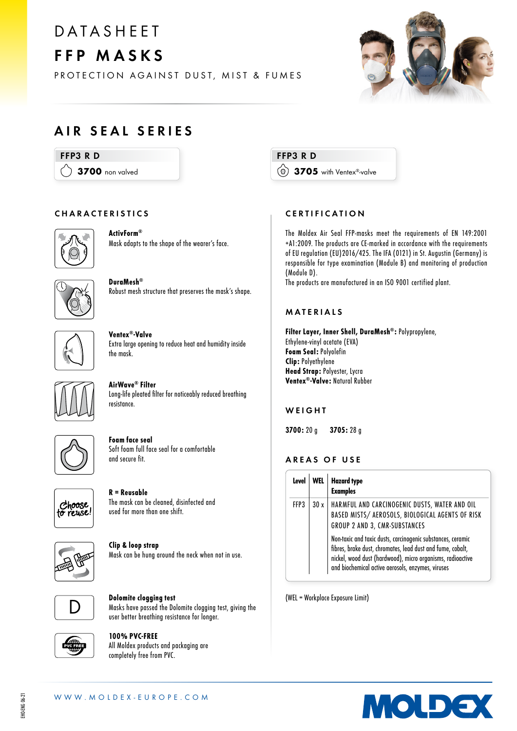# **DATASHEET** FFP MASKS

PROTECTION AGAINST DUST, MIST & FUMES



### AIR SEAL SERIES

### FFP3 R D

 $\langle \rangle$  3700 non valved

### CHARACTERISTICS



ActivForm® Mask adapts to the shape of the wearer's face.



DuraMesh® Robust mesh structure that preserves the mask's shape.



Ventex®-Valve Extra large opening to reduce heat and humidity inside the mask.



AirWave® Filter Long-life pleated filter for noticeably reduced breathing resistance.



Foam face seal Soft foam full face seal for a comfortable and secure fit.



R = Reusable The mask can be cleaned, disinfected and used for more than one shift.



Clip & loop strap Mask can be hung around the neck when not in use.



Dolomite clogging test Masks have passed the Dolomite clogging test, giving the user better breathing resistance for longer.



100% PVC-FREE All Moldex products and packaging are completely free from PVC.

FFP3 R D 3705 with Ventex®-valve

### CERTIFICATION

The Moldex Air Seal FFP-masks meet the requirements of EN 149:2001 +A1:2009. The products are CE-marked in accordance with the requirements of EU regulation (EU)2016/425. The IFA (0121) in St. Augustin (Germany) is responsible for type examination (Module B) and monitoring of production (Module D).

The products are manufactured in an ISO 9001 certified plant.

### MATERIALS

Filter Layer, Inner Shell, DuraMesh®: Polypropylene, Ethylene-vinyl acetate (EVA) Foam Seal: Polyolefin Clip: Polyethylene Head Strap: Polyester, Lycra Ventex®-Valve: Natural Rubber

### **WEIGHT**

3700: 20 g 3705: 28 g

### AREAS OF USE

| Level |  | <b>Hazard type</b><br><b>Examples</b>                                                                                                                                                                                                        |
|-------|--|----------------------------------------------------------------------------------------------------------------------------------------------------------------------------------------------------------------------------------------------|
| FFP3  |  | 30 x   HARMFUL AND CARCINOGENIC DUSTS, WATER AND OIL<br>BASED MISTS/ AEROSOLS, BIOLOGICAL AGENTS OF RISK<br>GROUP 2 AND 3, CMR-SUBSTANCES                                                                                                    |
|       |  | Non-toxic and toxic dusts, carcinogenic substances, ceramic<br>fibres, brake dust, chromates, lead dust and fume, cobalt,<br>nickel, wood dust (hardwood), micro organisms, radioactive<br>and biochemical active aerosols, enzymes, viruses |

(WEL = Workplace Exposure Limit)